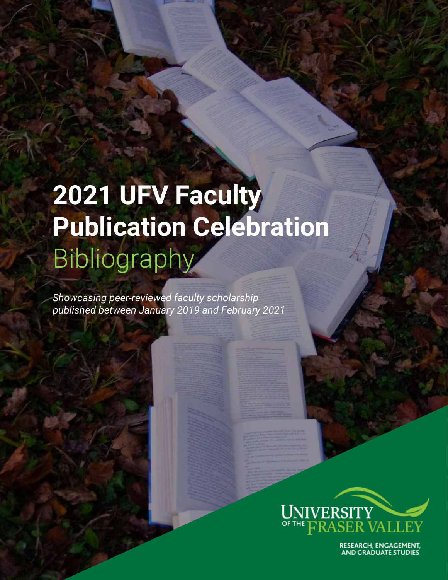# **2021 UFV Faculty Publication Celebration** Bibliography

*Showcasing peer-reviewed faculty scholarship published between January 2019 and February 2021*



RESEARCH, ENGAGEMENT,<br>AND GRADUATE STUDIES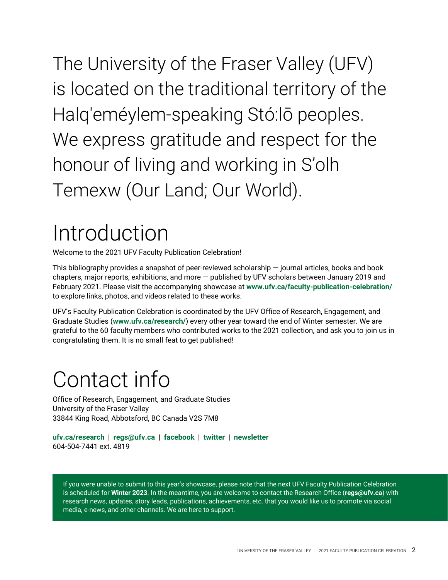UNIVERSITY OF THE FRASER VALLEY | 2021 FACULTY PUBLICATION CELEBRATION 2

If you were unable to submit to this year's showcase, please note that the next UFV Faculty Publication Celebration is scheduled for **Winter 2023**. In the meantime, you are welcome to contact the Research Office (**[regs@ufv.ca](mailto:regs@ufv.ca)**) with research news, updates, story leads, publications, achievements, etc. that you would like us to promote via social media, e-news, and other channels. We are here to support.

**[ufv.ca/research](https://www.ufv.ca/research/)** | **[regs@ufv.ca](mailto:regs@ufv.ca)** | **[facebook](https://www.facebook.com/UFVresearch)** | **[twitter](https://twitter.com/UFVresearch)** | **[newsletter](https://us4.campaign-archive.com/home/?u=ded8d56977febd62bbcbcb2f7&id=ce3abf5ce8)** 604-504-7441 ext. 4819

<span id="page-1-1"></span>Contact info Office of Research, Engagement, and Graduate Studies

University of the Fraser Valley

Welcome to the 2021 UFV Faculty Publication Celebration!

congratulating them. It is no small feat to get published!

33844 King Road, Abbotsford, BC Canada V2S 7M8

chapters, major reports, exhibitions, and more — published by UFV scholars between January 2019 and February 2021. Please visit the accompanying showcase at **[www.ufv.ca/faculty-publication-celebration/](http://www.ufv.ca/faculty-publication-celebration/)** to explore links, photos, and videos related to these works.

UFV's Faculty Publication Celebration is coordinated by the UFV Office of Research, Engagement, and Graduate Studies (**[www.ufv.ca/research/](http://www.ufv.ca/research/)**) every other year toward the end of Winter semester. We are grateful to the 60 faculty members who contributed works to the 2021 collection, and ask you to join us in

<span id="page-1-0"></span>Introduction This bibliography provides a snapshot of peer-reviewed scholarship  $-$  journal articles, books and book

Halq'eméylem-speaking Stó:lō peoples. We express gratitude and respect for the honour of living and working in S'olh Temexw (Our Land; Our World).

The University of the Fraser Valley (UFV)

is located on the traditional territory of the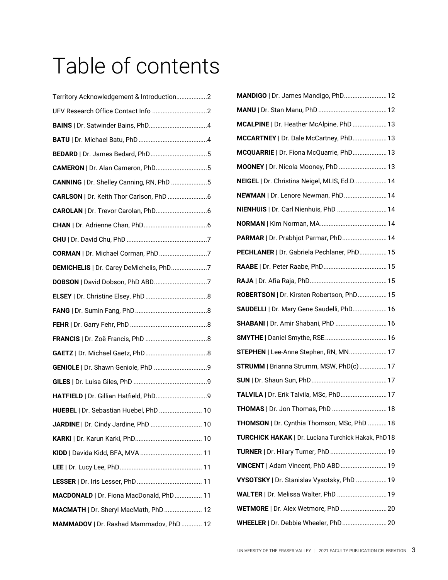# Table of contents

| Territory Acknowledgement & Introduction2 |
|-------------------------------------------|
|                                           |
|                                           |
|                                           |
| BEDARD   Dr. James Bedard, PhD5           |
| CAMERON   Dr. Alan Cameron, PhD5          |
| CANNING   Dr. Shelley Canning, RN, PhD 5  |
|                                           |
|                                           |
|                                           |
|                                           |
| CORMAN   Dr. Michael Corman, PhD 7        |
| DEMICHELIS   Dr. Carey DeMichelis, PhD7   |
|                                           |
|                                           |
|                                           |
|                                           |
|                                           |
|                                           |
|                                           |
|                                           |
| HATFIELD   Dr. Gillian Hatfield, PhD9     |
| HUEBEL   Dr. Sebastian Huebel, PhD  10    |
| JARDINE   Dr. Cindy Jardine, PhD  10      |
|                                           |
|                                           |
|                                           |
|                                           |
| MACDONALD   Dr. Fiona MacDonald, PhD 11   |
| MACMATH   Dr. Sheryl MacMath, PhD  12     |
| MAMMADOV   Dr. Rashad Mammadov, PhD  12   |

| MANDIGO   Dr. James Mandigo, PhD 12                |
|----------------------------------------------------|
|                                                    |
| MCALPINE   Dr. Heather McAlpine, PhD  13           |
| MCCARTNEY   Dr. Dale McCartney, PhD 13             |
| MCQUARRIE   Dr. Fiona McQuarrie, PhD 13            |
| MOONEY   Dr. Nicola Mooney, PhD  13                |
| NEIGEL   Dr. Christina Neigel, MLIS, Ed.D 14       |
| NEWMAN   Dr. Lenore Newman, PhD 14                 |
| NIENHUIS   Dr. Carl Nienhuis, PhD  14              |
|                                                    |
| PARMAR   Dr. Prabhjot Parmar, PhD 14               |
| PECHLANER   Dr. Gabriela Pechlaner, PhD 15         |
|                                                    |
|                                                    |
| ROBERTSON   Dr. Kirsten Robertson, PhD 15          |
| SAUDELLI   Dr. Mary Gene Saudelli, PhD 16          |
| SHABANI   Dr. Amir Shabani, PhD  16                |
|                                                    |
| STEPHEN   Lee-Anne Stephen, RN, MN 17              |
| STRUMM   Brianna Strumm, MSW, PhD(c)  17           |
|                                                    |
| TALVILA   Dr. Erik Talvila, MSc, PhD 17            |
| THOMAS   Dr. Jon Thomas, PhD  18                   |
| THOMSON   Dr. Cynthia Thomson, MSc, PhD  18        |
| TURCHICK HAKAK   Dr. Luciana Turchick Hakak, PhD18 |
| TURNER   Dr. Hilary Turner, PhD  19                |
| VINCENT   Adam Vincent, PhD ABD 19                 |
| VYSOTSKY   Dr. Stanislav Vysotsky, PhD  19         |
| WALTER   Dr. Melissa Walter, PhD  19               |
| <b>WETMORE   Dr. Alex Wetmore, PhD  20</b>         |
| WHEELER   Dr. Debbie Wheeler, PhD 20               |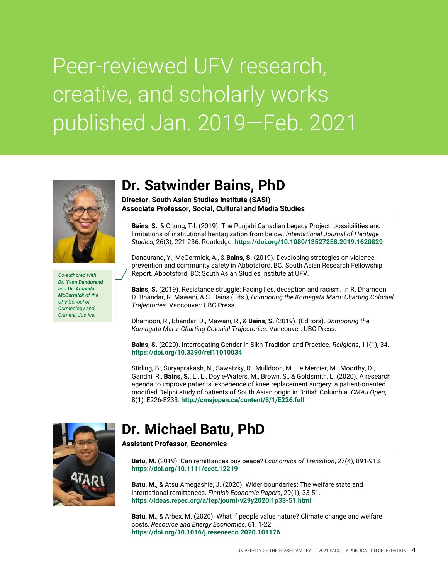## Peer-reviewed UFV research, creative, and scholarly works published Jan. 2019—Feb. 2021



*Co-authored with Dr. Yvon Dandurand and Dr. Amanda McCormick of the UFV School of Criminology and Criminal Justice.*

#### <span id="page-3-0"></span>**Dr. Satwinder Bains, PhD**

**Director, South Asian Studies Institute (SASI) Associate Professor, Social, Cultural and Media Studies**

**Bains, S.**, & Chung, T-I. (2019). The Punjabi Canadian Legacy Project: possibilities and limitations of institutional heritagization from below. *International Journal of Heritage Studies*, 26(3), 221-236. Routledge. **<https://doi.org/10.1080/13527258.2019.1620829>**

Dandurand, Y., McCormick, A., & **Bains, S.** (2019). Developing strategies on violence prevention and community safety in Abbotsford, BC. South Asian Research Fellowship Report. Abbotsford, BC: South Asian Studies Institute at UFV.

**Bains, S.** (2019). Resistance struggle: Facing lies, deception and racism. In R. Dhamoon, D. Bhandar, R. Mawani, & S. Bains (Eds.), *Unmooring the Komagata Maru: Charting Colonial Trajectories*. Vancouver: UBC Press.

Dhamoon, R., Bhandar, D., Mawani, R., & **Bains, S.** (2019). (Editors). *Unmooring the Komagata Maru: Charting Colonial Trajectories*. Vancouver: UBC Press.

**Bains, S.** (2020). Interrogating Gender in Sikh Tradition and Practice. *Religions*, 11(1), 34. **<https://doi.org/10.3390/rel11010034>**

Stirling, B., Suryaprakash, N., Sawatzky, R., Mulldoon, M., Le Mercier, M., Moorthy, D., Gandhi, R., **Bains, S.**, Li, L., Doyle-Waters, M., Brown, S., & Goldsmith, L. (2020). A research agenda to improve patients' experience of knee replacement surgery: a patient-oriented modified Delphi study of patients of South Asian origin in British Columbia. *CMAJ Open*, 8(1), E226-E233. **<http://cmajopen.ca/content/8/1/E226.full>**



#### <span id="page-3-1"></span>**Dr. Michael Batu, PhD**

**Assistant Professor, Economics**

**Batu, M.** (2019). Can remittances buy peace? *Economics of Transition*, 27(4), 891-913. **<https://doi.org/10.1111/ecot.12219>**

**Batu, M.**, & Atsu Amegashie, J. (2020). Wider boundaries: The welfare state and international remittances. *Finnish Economic Papers*, 29(1), 33-51. **<https://ideas.repec.org/a/fep/journl/v29y2020i1p33-51.html>**

**Batu, M.**, & Arbex, M. (2020). What if people value nature? Climate change and welfare costs. *Resource and Energy Economics*, 61, 1-22. **<https://doi.org/10.1016/j.reseneeco.2020.101176>**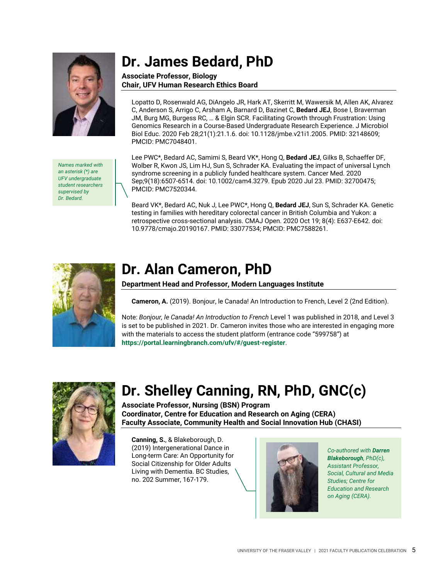

*Names marked with an asterisk (\*) are UFV undergraduate student researchers supervised by Dr. Bedard.*

#### <span id="page-4-0"></span>**Dr. James Bedard, PhD**

#### **Associate Professor, Biology Chair, UFV Human Research Ethics Board**

Lopatto D, Rosenwald AG, DiAngelo JR, Hark AT, Skerritt M, Wawersik M, Allen AK, Alvarez C, Anderson S, Arrigo C, Arsham A, Barnard D, Bazinet C, **Bedard JEJ**, Bose I, Braverman JM, Burg MG, Burgess RC, … & Elgin SCR. Facilitating Growth through Frustration: Using Genomics Research in a Course-Based Undergraduate Research Experience. J Microbiol Biol Educ. 2020 Feb 28;21(1):21.1.6. doi: 10.1128/jmbe.v21i1.2005. PMID: 32148609; PMCID: PMC7048401.

Lee PWC\*, Bedard AC, Samimi S, Beard VK\*, Hong Q, **Bedard JEJ**, Gilks B, Schaeffer DF, Wolber R, Kwon JS, Lim HJ, Sun S, Schrader KA. Evaluating the impact of universal Lynch syndrome screening in a publicly funded healthcare system. Cancer Med. 2020 Sep;9(18):6507-6514. doi: 10.1002/cam4.3279. Epub 2020 Jul 23. PMID: 32700475; PMCID: PMC7520344.

Beard VK\*, Bedard AC, Nuk J, Lee PWC\*, Hong Q, **Bedard JEJ**, Sun S, Schrader KA. Genetic testing in families with hereditary colorectal cancer in British Columbia and Yukon: a retrospective cross-sectional analysis. CMAJ Open. 2020 Oct 19; 8(4): E637-E642. doi: 10.9778/cmajo.20190167. PMID: 33077534; PMCID: PMC7588261.



#### <span id="page-4-1"></span>**Dr. Alan Cameron, PhD**

#### **Department Head and Professor, Modern Languages Institute**

**Cameron, A.** (2019). Bonjour, le Canada! An Introduction to French, Level 2 (2nd Edition).

Note: *Bonjour, le Canada! An Introduction to French* Level 1 was published in 2018, and Level 3 is set to be published in 2021. Dr. Cameron invites those who are interested in engaging more with the materials to access the student platform (entrance code "599758") at **[https://portal.learningbranch.com/ufv/#/guest-register](https://linkprotect.cudasvc.com/url?a=https%3a%2f%2fportal.learningbranch.com%2fufv%2f%23%2fguest-register&c=E,1,SAEsAv88F6lm5VXadAgIKcx2vRzcKyOdCcwn0BVIbWCl9GtdVyjjQCw1EGGjgeWOQpggUBHfxfwNcGpKmLp7WyOoOC81KknVnW10pPrK6Q,,&typo=1)**.



#### <span id="page-4-2"></span>**Dr. Shelley Canning, RN, PhD, GNC(c)**

**Associate Professor, Nursing (BSN) Program Coordinator, Centre for Education and Research on Aging (CERA) Faculty Associate, Community Health and Social Innovation Hub (CHASI)**

**Canning, S.**, & Blakeborough, D. (2019) Intergenerational Dance in Long-term Care: An Opportunity for Social Citizenship for Older Adults Living with Dementia. BC Studies, no. 202 Summer, 167-179.



*Co-authored with Darren Blakeborough, PhD(c), Assistant Professor, Social, Cultural and Media Studies; Centre for Education and Research on Aging (CERA).*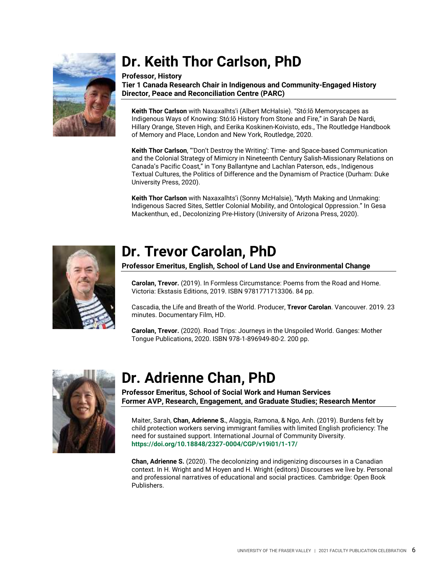

## <span id="page-5-0"></span>**Dr. Keith Thor Carlson, PhD**

#### **Professor, History**

**Tier 1 Canada Research Chair in Indigenous and Community-Engaged History Director, Peace and Reconciliation Centre (PARC)**

**Keith Thor Carlson** with Naxaxalhts'i (Albert McHalsie). "Stó:lō Memoryscapes as Indigenous Ways of Knowing: Stó:lō History from Stone and Fire," in Sarah De Nardi, Hillary Orange, Steven High, and Eerika Koskinen-Koivisto, eds., The Routledge Handbook of Memory and Place, London and New York, Routledge, 2020.

**Keith Thor Carlson**, "'Don't Destroy the Writing': Time- and Space-based Communication and the Colonial Strategy of Mimicry in Nineteenth Century Salish-Missionary Relations on Canada's Pacific Coast," in Tony Ballantyne and Lachlan Paterson, eds., Indigenous Textual Cultures, the Politics of Difference and the Dynamism of Practice (Durham: Duke University Press, 2020).

**Keith Thor Carlson** with Naxaxalhts'i (Sonny McHalsie), "Myth Making and Unmaking: Indigenous Sacred Sites, Settler Colonial Mobility, and Ontological Oppression." In Gesa Mackenthun, ed., Decolonizing Pre-History (University of Arizona Press, 2020).



#### <span id="page-5-1"></span>**Dr. Trevor Carolan, PhD**

**Professor Emeritus, English, School of Land Use and Environmental Change**

**Carolan, Trevor.** (2019). In Formless Circumstance: Poems from the Road and Home. Victoria: Ekstasis Editions, 2019. ISBN 9781771713306. 84 pp.

Cascadia, the Life and Breath of the World. Producer, **Trevor Carolan**. Vancouver. 2019. 23 minutes. Documentary Film, HD.

**Carolan, Trevor.** (2020). Road Trips: Journeys in the Unspoiled World. Ganges: Mother Tongue Publications, 2020. ISBN 978-1-896949-80-2. 200 pp.



#### <span id="page-5-2"></span>**Dr. Adrienne Chan, PhD**

**Professor Emeritus, School of Social Work and Human Services Former AVP, Research, Engagement, and Graduate Studies; Research Mentor**

Maiter, Sarah, **Chan, Adrienne S.**, Alaggia, Ramona, & Ngo, Anh. (2019). Burdens felt by child protection workers serving immigrant families with limited English proficiency: The need for sustained support. International Journal of Community Diversity. **<https://doi.org/10.18848/2327-0004/CGP/v19i01/1-17/>**

**Chan, Adrienne S.** (2020). The decolonizing and indigenizing discourses in a Canadian context. In H. Wright and M Hoyen and H. Wright (editors) Discourses we live by. Personal and professional narratives of educational and social practices. Cambridge: Open Book Publishers.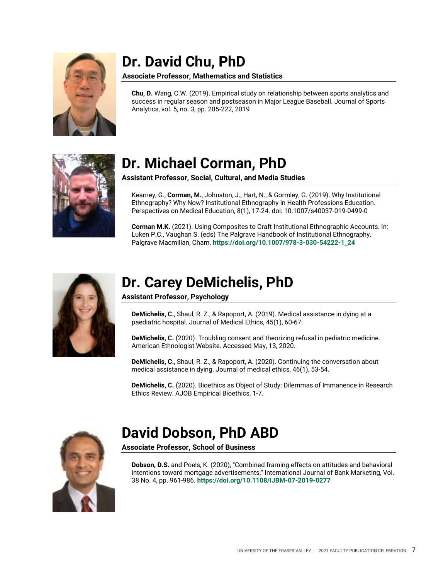

### <span id="page-6-0"></span>**Dr. David Chu, PhD**

#### **Associate Professor, Mathematics and Statistics**

**Chu, D.** Wang, C.W. (2019). Empirical study on relationship between sports analytics and success in regular season and postseason in Major League Baseball. Journal of Sports Analytics, vol. 5, no. 3, pp. 205-222, 2019



#### <span id="page-6-1"></span>**Dr. Michael Corman, PhD**

**Assistant Professor, Social, Cultural, and Media Studies**

Kearney, G., **Corman, M.**, Johnston, J., Hart, N., & Gormley, G. (2019). Why Institutional Ethnography? Why Now? Institutional Ethnography in Health Professions Education. Perspectives on Medical Education, 8(1), 17-24. doi: 10.1007/s40037-019-0499-0

**Corman M.K.** (2021). Using Composites to Craft Institutional Ethnographic Accounts. In: Luken P.C., Vaughan S. (eds) The Palgrave Handbook of Institutional Ethnography. Palgrave Macmillan, Cham. **[https://doi.org/10.1007/978-3-030-54222-1\\_24](https://doi.org/10.1007/978-3-030-54222-1_24)**



#### <span id="page-6-2"></span>**Dr. Carey DeMichelis, PhD**

**Assistant Professor, Psychology**

**DeMichelis, C.**, Shaul, R. Z., & Rapoport, A. (2019). Medical assistance in dying at a paediatric hospital. Journal of Medical Ethics, 45(1), 60-67.

**DeMichelis, C.** (2020). Troubling consent and theorizing refusal in pediatric medicine. American Ethnologist Website. Accessed May, 13, 2020.

**DeMichelis, C.**, Shaul, R. Z., & Rapoport, A. (2020). Continuing the conversation about medical assistance in dying. Journal of medical ethics, 46(1), 53-54.

**DeMichelis, C.** (2020). Bioethics as Object of Study: Dilemmas of Immanence in Research Ethics Review. AJOB Empirical Bioethics, 1-7.



#### <span id="page-6-3"></span>**David Dobson, PhD ABD**

**Associate Professor, School of Business**

**Dobson, D.S.** and Poels, K. (2020), "Combined framing effects on attitudes and behavioral intentions toward mortgage advertisements," International Journal of Bank Marketing, Vol. 38 No. 4, pp. 961-986. **<https://doi.org/10.1108/IJBM-07-2019-0277>**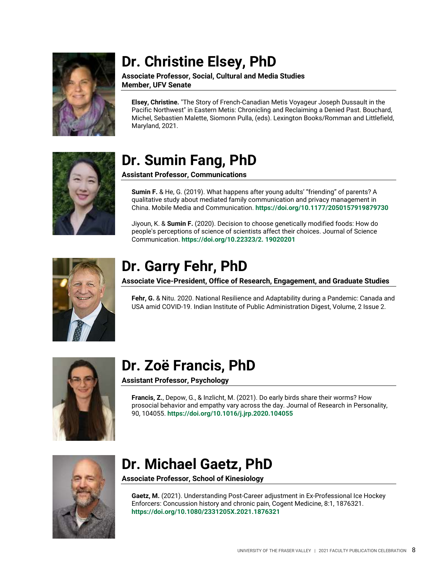

#### <span id="page-7-0"></span>**Dr. Christine Elsey, PhD**

**Associate Professor, Social, Cultural and Media Studies Member, UFV Senate**

**Elsey, Christine.** "The Story of French-Canadian Metis Voyageur Joseph Dussault in the Pacific Northwest" in Eastern Metis: Chronicling and Reclaiming a Denied Past. Bouchard, Michel, Sebastien Malette, Siomonn Pulla, (eds). Lexington Books/Romman and Littlefield, Maryland, 2021.



#### <span id="page-7-1"></span>**Dr. Sumin Fang, PhD**

**Assistant Professor, Communications**

**Sumin F.** & He, G. (2019). What happens after young adults' "friending" of parents? A qualitative study about mediated family communication and privacy management in China. Mobile Media and Communication. **<https://doi.org/10.1177/2050157919879730>**

Jiyoun, K. & **Sumin F.** (2020). Decision to choose genetically modified foods: How do people's perceptions of science of scientists affect their choices. Journal of Science Communication. **[https://doi.org/10.22323/2. 19020201](https://doi.org/10.22323/2.%2019020201)**



#### <span id="page-7-2"></span>**Dr. Garry Fehr, PhD**

**Associate Vice-President, Office of Research, Engagement, and Graduate Studies**

**Fehr, G.** & Nitu. 2020. National Resilience and Adaptability during a Pandemic: Canada and USA amid COVID-19. Indian Institute of Public Administration Digest, Volume, 2 Issue 2.



#### <span id="page-7-3"></span>**Dr. Zoë Francis, PhD**

**Assistant Professor, Psychology**

**Francis, Z.**, Depow, G., & Inzlicht, M. (2021). Do early birds share their worms? How prosocial behavior and empathy vary across the day. Journal of Research in Personality, 90, 104055. **<https://doi.org/10.1016/j.jrp.2020.104055>**



#### <span id="page-7-4"></span>**Dr. Michael Gaetz, PhD**

**Associate Professor, School of Kinesiology**

Gaetz, M. (2021). Understanding Post-Career adjustment in Ex-Professional Ice Hockey Enforcers: Concussion history and chronic pain, Cogent Medicine, 8:1, 1876321. **<https://doi.org/10.1080/2331205X.2021.1876321>**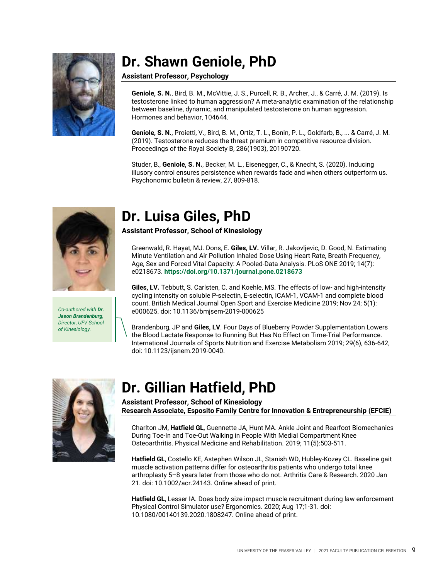

#### <span id="page-8-0"></span>**Dr. Shawn Geniole, PhD**

#### **Assistant Professor, Psychology**

**Geniole, S. N.**, Bird, B. M., McVittie, J. S., Purcell, R. B., Archer, J., & Carré, J. M. (2019). Is testosterone linked to human aggression? A meta-analytic examination of the relationship between baseline, dynamic, and manipulated testosterone on human aggression. Hormones and behavior, 104644.

**Geniole, S. N.**, Proietti, V., Bird, B. M., Ortiz, T. L., Bonin, P. L., Goldfarb, B., ... & Carré, J. M. (2019). Testosterone reduces the threat premium in competitive resource division. Proceedings of the Royal Society B, 286(1903), 20190720.

Studer, B., **Geniole, S. N.**, Becker, M. L., Eisenegger, C., & Knecht, S. (2020). Inducing illusory control ensures persistence when rewards fade and when others outperform us. Psychonomic bulletin & review, 27, 809-818.



*Co-authored with Dr. Jason Brandenburg, Director, UFV School of Kinesiology.*

#### <span id="page-8-1"></span>**Dr. Luisa Giles, PhD**

**Assistant Professor, School of Kinesiology**

Greenwald, R. Hayat, MJ. Dons, E. **Giles, LV.** Villar, R. Jakovljevic, D. Good, N. Estimating Minute Ventilation and Air Pollution Inhaled Dose Using Heart Rate, Breath Frequency, Age, Sex and Forced Vital Capacity: A Pooled-Data Analysis. PLoS ONE 2019; 14(7): e0218673. **<https://doi.org/10.1371/journal.pone.0218673>**

**Giles, LV.** Tebbutt, S. Carlsten, C. and Koehle, MS. The effects of low- and high-intensity cycling intensity on soluble P-selectin, E-selectin, ICAM-1, VCAM-1 and complete blood count. British Medical Journal Open Sport and Exercise Medicine 2019; Nov 24; 5(1): e000625. doi: 10.1136/bmjsem-2019-000625

Brandenburg, JP and **Giles, LV**. Four Days of Blueberry Powder Supplementation Lowers the Blood Lactate Response to Running But Has No Effect on Time-Trial Performance. International Journals of Sports Nutrition and Exercise Metabolism 2019; 29(6), 636-642, doi: 10.1123/ijsnem.2019-0040.



#### <span id="page-8-2"></span>**Dr. Gillian Hatfield, PhD**

**Assistant Professor, School of Kinesiology Research Associate, Esposito Family Centre for Innovation & Entrepreneurship (EFCIE)**

Charlton JM, **Hatfield GL**, Guennette JA, Hunt MA. Ankle Joint and Rearfoot Biomechanics During Toe-In and Toe-Out Walking in People With Medial Compartment Knee Osteoarthritis. Physical Medicine and Rehabilitation. 2019; 11(5):503-511.

**Hatfield GL**, Costello KE, Astephen Wilson JL, Stanish WD, Hubley-Kozey CL. Baseline gait muscle activation patterns differ for osteoarthritis patients who undergo total knee arthroplasty 5–8 years later from those who do not. Arthritis Care & Research. 2020 Jan 21. doi: 10.1002/acr.24143. Online ahead of print.

**Hatfield GL**, Lesser IA. Does body size impact muscle recruitment during law enforcement Physical Control Simulator use? Ergonomics. 2020; Aug 17;1-31. doi: 10.1080/00140139.2020.1808247. Online ahead of print.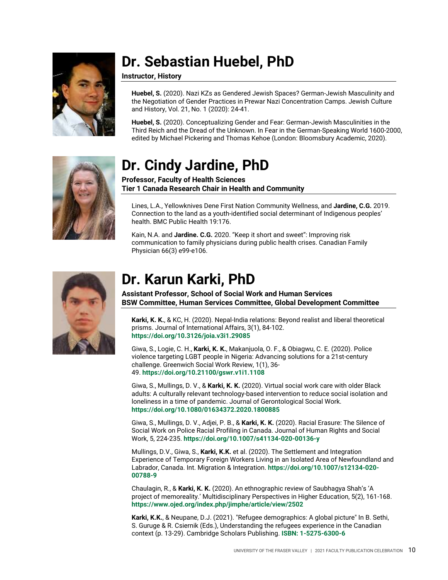

### <span id="page-9-0"></span>**Dr. Sebastian Huebel, PhD**

**Instructor, History**

**Huebel, S.** (2020). Nazi KZs as Gendered Jewish Spaces? German-Jewish Masculinity and the Negotiation of Gender Practices in Prewar Nazi Concentration Camps. Jewish Culture and History, Vol. 21, No. 1 (2020): 24-41.

**Huebel, S.** (2020). Conceptualizing Gender and Fear: German-Jewish Masculinities in the Third Reich and the Dread of the Unknown. In Fear in the German-Speaking World 1600-2000, edited by Michael Pickering and Thomas Kehoe (London: Bloomsbury Academic, 2020).



#### <span id="page-9-1"></span>**Dr. Cindy Jardine, PhD**

#### **Professor, Faculty of Health Sciences Tier 1 Canada Research Chair in Health and Community**

Lines, L.A., Yellowknives Dene First Nation Community Wellness, and **Jardine, C.G.** 2019. Connection to the land as a youth-identified social determinant of Indigenous peoples' health. BMC Public Health 19:176.

Kain, N.A. and **Jardine. C.G.** 2020. "Keep it short and sweet": Improving risk communication to family physicians during public health crises. Canadian Family Physician 66(3) e99-e106.



#### <span id="page-9-2"></span>**Dr. Karun Karki, PhD**

**Assistant Professor, School of Social Work and Human Services BSW Committee, Human Services Committee, Global Development Committee**

**Karki, K. K.**, & KC, H. (2020). Nepal-India relations: Beyond realist and liberal theoretical prisms. Journal of International Affairs, 3(1), 84-102. **<https://doi.org/10.3126/joia.v3i1.29085>**

Giwa, S., Logie, C. H., **Karki, K. K.**, Makanjuola, O. F., & Obiagwu, C. E. (2020). Police violence targeting LGBT people in Nigeria: Advancing solutions for a 21st-century challenge. Greenwich Social Work Review, 1(1), 36- 49. **<https://doi.org/10.21100/gswr.v1i1.1108>**

Giwa, S., Mullings, D. V., & **Karki, K. K.** (2020). Virtual social work care with older Black adults: A culturally relevant technology-based intervention to reduce social isolation and loneliness in a time of pandemic. Journal of Gerontological Social Work. **<https://doi.org/10.1080/01634372.2020.1800885>**

Giwa, S., Mullings, D. V., Adjei, P. B., & **Karki, K. K.** (2020). Racial Erasure: The Silence of Social Work on Police Racial Profiling in Canada. Journal of Human Rights and Social Work, 5, 224-235. **<https://doi.org/10.1007/s41134-020-00136-y>**

Mullings, D.V., Giwa, S., **Karki, K.K.** et al. (2020). The Settlement and Integration Experience of Temporary Foreign Workers Living in an Isolated Area of Newfoundland and Labrador, Canada. Int. Migration & Integration. **[https://doi.org/10.1007/s12134-020-](https://doi.org/10.1007/s12134-020-00788-9) [00788-9](https://doi.org/10.1007/s12134-020-00788-9)**

Chaulagin, R., & **Karki, K. K.** (2020). An ethnographic review of Saubhagya Shah's 'A project of memoreality.' Multidisciplinary Perspectives in Higher Education, 5(2), 161-168. **<https://www.ojed.org/index.php/jimphe/article/view/2502>**

**Karki, K.K.**, & Neupane, D.J. (2021). "Refugee demographics: A global picture" In B. Sethi, S. Guruge & R. Csiernik (Eds.), Understanding the refugees experience in the Canadian context (p. 13-29). Cambridge Scholars Publishing. **[ISBN: 1-5275-6300-6](https://www.cambridgescholars.com/product/978-1-5275-6300-1)**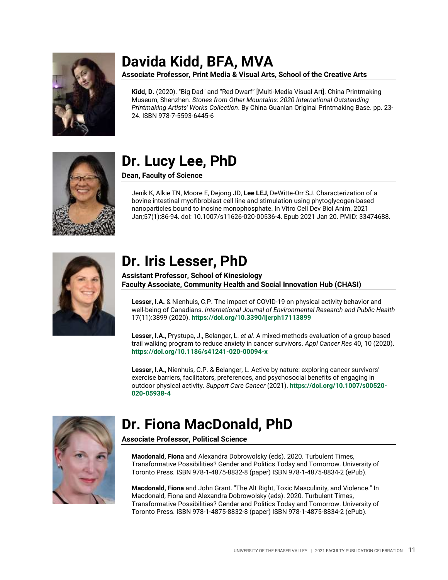

### <span id="page-10-0"></span>**Davida Kidd, BFA, MVA**

**Associate Professor, Print Media & Visual Arts, School of the Creative Arts**

**Kidd, D.** (2020). "Big Dad" and "Red Dwarf" [Multi-Media Visual Art]. China Printmaking Museum, Shenzhen. *Stones from Other Mountains: 2020 International Outstanding Printmaking Artists' Works Collection*. By China Guanlan Original Printmaking Base. pp. 23- 24. ISBN 978-7-5593-6445-6



### <span id="page-10-1"></span>**Dr. Lucy Lee, PhD**

**Dean, Faculty of Science**

Jenik K, Alkie TN, Moore E, Dejong JD, **Lee LEJ**, DeWitte-Orr SJ. Characterization of a bovine intestinal myofibroblast cell line and stimulation using phytoglycogen-based nanoparticles bound to inosine monophosphate. In Vitro Cell Dev Biol Anim. 2021 Jan;57(1):86-94. doi: 10.1007/s11626-020-00536-4. Epub 2021 Jan 20. PMID: 33474688.



#### <span id="page-10-2"></span>**Dr. Iris Lesser, PhD**

**Assistant Professor, School of Kinesiology Faculty Associate, Community Health and Social Innovation Hub (CHASI)**

**Lesser, I.A.** & Nienhuis, C.P. The impact of COVID-19 on physical activity behavior and well-being of Canadians. *International Journal of Environmental Research and Public Health* 17(11):3899 (2020). **[https://doi.org/10.3390/ijerph17113899](https://www.mdpi.com/1660-4601/17/11/3899)**

**Lesser, I.A.**, Prystupa, J., Belanger, L. *et al.* A mixed-methods evaluation of a group based trail walking program to reduce anxiety in cancer survivors. *Appl Cancer Res* 40**,** 10 (2020). **[https://doi.org/10.1186/s41241-020-00094-x](https://appliedcr.biomedcentral.com/articles/10.1186/s41241-020-00094-x)**

**Lesser, I.A.**, Nienhuis, C.P. & Belanger, L. Active by nature: exploring cancer survivors' exercise barriers, facilitators, preferences, and psychosocial benefits of engaging in outdoor physical activity. *Support Care Cancer* (2021). **[https://doi.org/10.1007/s00520-](https://link.springer.com/article/10.1007%2Fs00520-020-05938-4) [020-05938-4](https://link.springer.com/article/10.1007%2Fs00520-020-05938-4)**



#### <span id="page-10-3"></span>**Dr. Fiona MacDonald, PhD**

**Associate Professor, Political Science**

**Macdonald, Fiona** and Alexandra Dobrowolsky (eds). 2020. Turbulent Times, Transformative Possibilities? Gender and Politics Today and Tomorrow. University of Toronto Press. ISBN 978-1-4875-8832-8 (paper) ISBN 978-1-4875-8834-2 (ePub).

**Macdonald, Fiona** and John Grant. "The Alt Right, Toxic Masculinity, and Violence." In Macdonald, Fiona and Alexandra Dobrowolsky (eds). 2020. Turbulent Times, Transformative Possibilities? Gender and Politics Today and Tomorrow. University of Toronto Press. ISBN 978-1-4875-8832-8 (paper) ISBN 978-1-4875-8834-2 (ePub).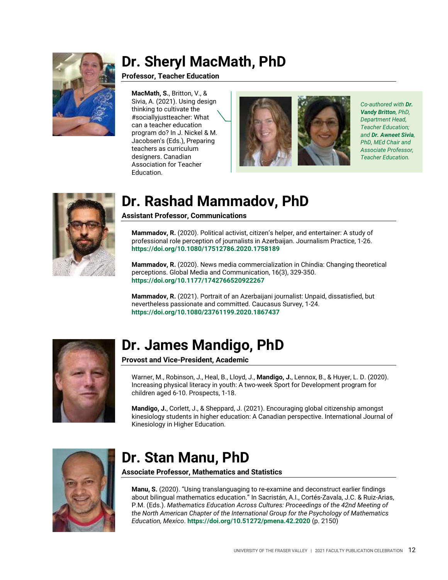

#### <span id="page-11-0"></span>**Dr. Sheryl MacMath, PhD**

#### **Professor, Teacher Education**

**MacMath, S.**, Britton, V., & Sivia, A. (2021). Using design thinking to cultivate the #sociallyjustteacher: What can a teacher education program do? In J. Nickel & M. Jacobsen's (Eds.), Preparing teachers as curriculum designers. Canadian Association for Teacher Education.



*Co-authored with Dr. Vandy Britton, PhD, Department Head, Teacher Education; and Dr. Awneet Sivia, PhD, MEd Chair and Associate Professor, Teacher Education.*



#### <span id="page-11-1"></span>**Dr. Rashad Mammadov, PhD**

**Assistant Professor, Communications**

**Mammadov, R.** (2020). Political activist, citizen's helper, and entertainer: A study of professional role perception of journalists in Azerbaijan. Journalism Practice, 1-26. **<https://doi.org/10.1080/17512786.2020.1758189>**

**Mammadov, R.** (2020). News media commercialization in Chindia: Changing theoretical perceptions. Global Media and Communication, 16(3), 329-350. **<https://doi.org/10.1177/1742766520922267>**

**Mammadov, R.** (2021). Portrait of an Azerbaijani journalist: Unpaid, dissatisfied, but nevertheless passionate and committed. Caucasus Survey, 1-24. **<https://doi.org/10.1080/23761199.2020.1867437>**



#### <span id="page-11-2"></span>**Dr. James Mandigo, PhD**

**Provost and Vice-President, Academic**

Warner, M., Robinson, J., Heal, B., Lloyd, J., **Mandigo, J.**, Lennox, B., & Huyer, L. D. (2020). Increasing physical literacy in youth: A two-week Sport for Development program for children aged 6-10. Prospects, 1-18.

**Mandigo, J.**, Corlett, J., & Sheppard, J. (2021). Encouraging global citizenship amongst kinesiology students in higher education: A Canadian perspective. International Journal of Kinesiology in Higher Education.



#### <span id="page-11-3"></span>**Dr. Stan Manu, PhD**

**Associate Professor, Mathematics and Statistics**

**Manu, S.** (2020). "Using translanguaging to re-examine and deconstruct earlier findings about bilingual mathematics education." In Sacristán, A.I., Cortés-Zavala, J.C. & Ruiz-Arias, P.M. (Eds.). *Mathematics Education Across Cultures: Proceedings of the 42nd Meeting of the North American Chapter of the International Group for the Psychology of Mathematics Education, Mexico*. **<https://doi.org/10.51272/pmena.42.2020>** (p. 2150)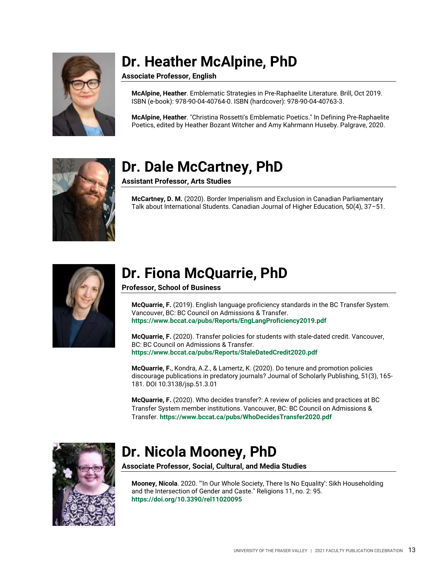

## <span id="page-12-0"></span>**Dr. Heather McAlpine, PhD**

**Associate Professor, English**

**McAlpine, Heather**. Emblematic Strategies in Pre-Raphaelite Literature. Brill, Oct 2019. ISBN (e-book): 978-90-04-40764-0. ISBN (hardcover): 978-90-04-40763-3.

**McAlpine, Heather**. "Christina Rossetti's Emblematic Poetics." In Defining Pre-Raphaelite Poetics, edited by Heather Bozant Witcher and Amy Kahrmann Huseby. Palgrave, 2020.



#### <span id="page-12-1"></span>**Dr. Dale McCartney, PhD**

**Assistant Professor, Arts Studies**

**McCartney, D. M.** (2020). Border Imperialism and Exclusion in Canadian Parliamentary Talk about International Students. Canadian Journal of Higher Education, 50(4), 37–51.



#### <span id="page-12-2"></span>**Dr. Fiona McQuarrie, PhD**

**Professor, School of Business**

**McQuarrie, F.** (2019). English language proficiency standards in the BC Transfer System. Vancouver, BC: BC Council on Admissions & Transfer. **<https://www.bccat.ca/pubs/Reports/EngLangProficiency2019.pdf>**

**McQuarrie, F.** (2020). Transfer policies for students with stale-dated credit. Vancouver, BC: BC Council on Admissions & Transfer. **<https://www.bccat.ca/pubs/Reports/StaleDatedCredit2020.pdf>**

**McQuarrie, F.**, Kondra, A.Z., & Lamertz, K. (2020). Do tenure and promotion policies discourage publications in predatory journals? Journal of Scholarly Publishing, 51(3), 165- 181. DOI 10.3138/jsp.51.3.01

**McQuarrie, F.** (2020). Who decides transfer?: A review of policies and practices at BC Transfer System member institutions. Vancouver, BC: BC Council on Admissions & Transfer. **<https://www.bccat.ca/pubs/WhoDecidesTransfer2020.pdf>**



#### <span id="page-12-3"></span>**Dr. Nicola Mooney, PhD**

**Associate Professor, Social, Cultural, and Media Studies**

**Mooney, Nicola**. 2020. "'In Our Whole Society, There Is No Equality': Sikh Householding and the Intersection of Gender and Caste." Religions 11, no. 2: 95. **<https://doi.org/10.3390/rel11020095>**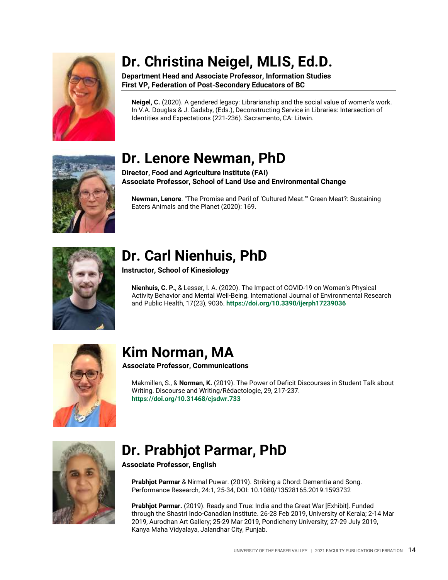

## <span id="page-13-0"></span>**Dr. Christina Neigel, MLIS, Ed.D.**

**Department Head and Associate Professor, Information Studies First VP, Federation of Post-Secondary Educators of BC**

**Neigel, C.** (2020). A gendered legacy: Librarianship and the social value of women's work. In V.A. Douglas & J. Gadsby, (Eds.), Deconstructing Service in Libraries: Intersection of Identities and Expectations (221-236). Sacramento, CA: Litwin.

#### <span id="page-13-1"></span>**Dr. Lenore Newman, PhD**

**Director, Food and Agriculture Institute (FAI) Associate Professor, School of Land Use and Environmental Change**

**Newman, Lenore**. "The Promise and Peril of 'Cultured Meat.'" Green Meat?: Sustaining Eaters Animals and the Planet (2020): 169.



#### <span id="page-13-2"></span>**Dr. Carl Nienhuis, PhD**

**Instructor, School of Kinesiology**

**Nienhuis, C. P.**, & Lesser, I. A. (2020). The Impact of COVID-19 on Women's Physical Activity Behavior and Mental Well-Being. International Journal of Environmental Research and Public Health, 17(23), 9036. **<https://doi.org/10.3390/ijerph17239036>**



## <span id="page-13-3"></span>**Kim Norman, MA**

**Associate Professor, Communications**

Makmillen, S., & **Norman, K.** (2019). The Power of Deficit Discourses in Student Talk about Writing. Discourse and Writing/Rédactologie, 29, 217-237. **<https://doi.org/10.31468/cjsdwr.733>**



#### <span id="page-13-4"></span>**Dr. Prabhjot Parmar, PhD**

**Associate Professor, English**

**Prabhjot Parmar** & Nirmal Puwar. (2019). Striking a Chord: Dementia and Song. Performance Research, 24:1, 25-34, DOI: 10.1080/13528165.2019.1593732

**Prabhjot Parmar.** (2019). Ready and True: India and the Great War [Exhibit]. Funded through the Shastri Indo-Canadian Institute. 26-28 Feb 2019, University of Kerala; 2-14 Mar 2019, Aurodhan Art Gallery; 25-29 Mar 2019, Pondicherry University; 27-29 July 2019, Kanya Maha Vidyalaya, Jalandhar City, Punjab.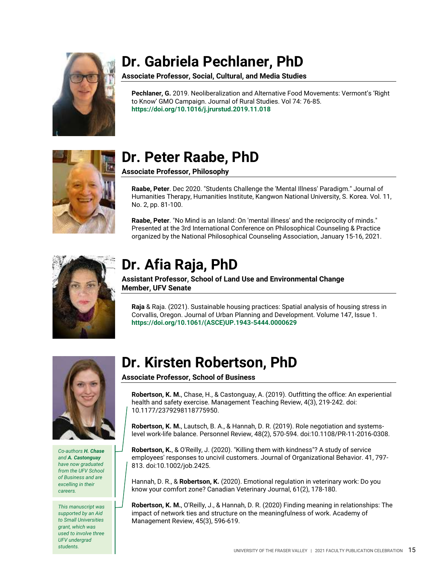

### <span id="page-14-0"></span>**Dr. Gabriela Pechlaner, PhD**

**Associate Professor, Social, Cultural, and Media Studies**

**Pechlaner, G.** 2019. Neoliberalization and Alternative Food Movements: Vermont's 'Right to Know' GMO Campaign. Journal of Rural Studies. Vol 74: 76-85. **<https://doi.org/10.1016/j.jrurstud.2019.11.018>**



#### <span id="page-14-1"></span>**Dr. Peter Raabe, PhD**

**Associate Professor, Philosophy**

**Raabe, Peter**. Dec 2020. "Students Challenge the 'Mental Illness' Paradigm." Journal of Humanities Therapy, Humanities Institute, Kangwon National University, S. Korea. Vol. 11, No. 2, pp. 81-100.

**Raabe, Peter**. "No Mind is an Island: On 'mental illness' and the reciprocity of minds." Presented at the 3rd International Conference on Philosophical Counseling & Practice organized by the National Philosophical Counseling Association, January 15-16, 2021.



## <span id="page-14-2"></span>**Dr. Afia Raja, PhD**

**Assistant Professor, School of Land Use and Environmental Change Member, UFV Senate**

**Raja** & Raja. (2021). Sustainable housing practices: Spatial analysis of housing stress in Corvallis, Oregon. Journal of Urban Planning and Development. Volume 147, Issue 1. **[https://doi.org/10.1061/\(ASCE\)UP.1943-5444.0000629](https://doi.org/10.1061/(ASCE)UP.1943-5444.0000629)**



*Co-authors H. Chase and A. Castonguay have now graduated from the UFV School of Business and are excelling in their careers.*

*This manuscript was supported by an Aid to Small Universities grant, which was used to involve three UFV undergrad students.*

#### <span id="page-14-3"></span>**Dr. Kirsten Robertson, PhD**

**Associate Professor, School of Business**

**Robertson, K. M.**, Chase, H., & Castonguay, A. (2019). Outfitting the office: An experiential health and safety exercise. Management Teaching Review, 4(3), 219-242. doi: 10.1177/2379298118775950.

**Robertson, K. M.**, Lautsch, B. A., & Hannah, D. R. (2019). Role negotiation and systemslevel work-life balance. Personnel Review, 48(2), 570-594. doi:10.1108/PR-11-2016-0308.

**Robertson, K.**, & O'Reilly, J. (2020). "Killing them with kindness"? A study of service employees' responses to uncivil customers. Journal of Organizational Behavior. 41, 797- 813. doi:10.1002/job.2425.

Hannah, D. R., & **Robertson, K.** (2020). Emotional regulation in veterinary work: Do you know your comfort zone? Canadian Veterinary Journal, 61(2), 178-180.

**Robertson, K. M.**, O'Reilly, J., & Hannah, D. R. (2020) Finding meaning in relationships: The impact of network ties and structure on the meaningfulness of work. Academy of Management Review, 45(3), 596-619.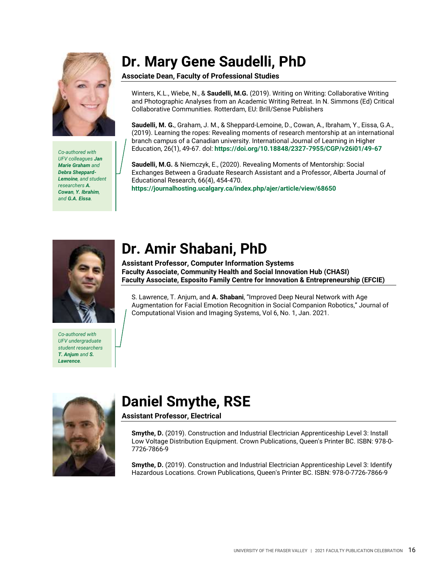

*Co-authored with UFV colleagues Jan Marie Graham and Debra Sheppard-Lemoine, and student researchers A. Cowan, Y. Ibrahim, and G.A. Eissa.*

#### <span id="page-15-0"></span>**Dr. Mary Gene Saudelli, PhD**

**Associate Dean, Faculty of Professional Studies**

Winters, K.L., Wiebe, N., & **Saudelli, M.G.** (2019). Writing on Writing: Collaborative Writing and Photographic Analyses from an Academic Writing Retreat. In N. Simmons (Ed) Critical Collaborative Communities. Rotterdam, EU: Brill/Sense Publishers

**Saudelli, M. G.**, Graham, J. M., & Sheppard-Lemoine, D., Cowan, A., Ibraham, Y., Eissa, G.A., (2019). Learning the ropes: Revealing moments of research mentorship at an international branch campus of a Canadian university. International Journal of Learning in Higher Education, 26(1), 49-67. dol: **<https://doi.org/10.18848/2327-7955/CGP/v26i01/49-67>**

**Saudelli, M.G.** & Niemczyk, E., (2020). Revealing Moments of Mentorship: Social Exchanges Between a Graduate Research Assistant and a Professor, Alberta Journal of Educational Research, 66(4), 454-470. **<https://journalhosting.ucalgary.ca/index.php/ajer/article/view/68650>**



*Co-authored with UFV undergraduate student researchers T. Anjum and S. Lawrence.*

#### <span id="page-15-1"></span>**Dr. Amir Shabani, PhD**

**Assistant Professor, Computer Information Systems Faculty Associate, Community Health and Social Innovation Hub (CHASI) Faculty Associate, Esposito Family Centre for Innovation & Entrepreneurship (EFCIE)**

S. Lawrence, T. Anjum, and **A. Shabani**, "Improved Deep Neural Network with Age Augmentation for Facial Emotion Recognition in Social Companion Robotics," Journal of Computational Vision and Imaging Systems, Vol 6, No. 1, Jan. 2021.



## <span id="page-15-2"></span>**Daniel Smythe, RSE**

**Assistant Professor, Electrical**

**Smythe, D.** (2019). Construction and Industrial Electrician Apprenticeship Level 3: Install Low Voltage Distribution Equipment. Crown Publications, Queen's Printer BC. ISBN: 978-0- 7726-7866-9

**Smythe, D.** (2019). Construction and Industrial Electrician Apprenticeship Level 3: Identify Hazardous Locations. Crown Publications, Queen's Printer BC. ISBN: 978-0-7726-7866-9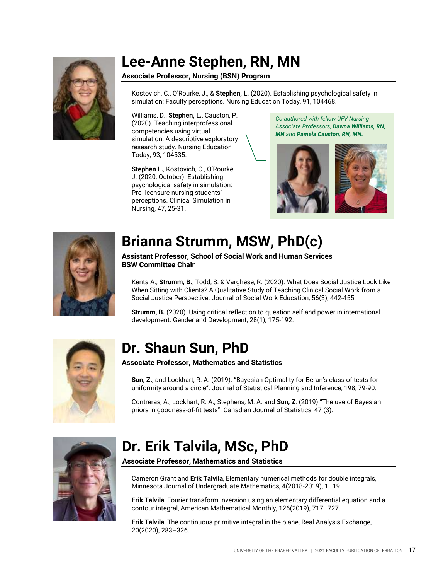

#### <span id="page-16-0"></span>**Lee-Anne Stephen, RN, MN**

#### **Associate Professor, Nursing (BSN) Program**

Kostovich, C., O'Rourke, J., & **Stephen, L.** (2020). Establishing psychological safety in simulation: Faculty perceptions. Nursing Education Today, 91, 104468.

Williams, D., **Stephen, L.**, Causton, P. (2020). Teaching interprofessional competencies using virtual simulation: A descriptive exploratory research study. Nursing Education Today, 93, 104535.

**Stephen L.**, Kostovich, C., O'Rourke, J. (2020, October). Establishing psychological safety in simulation: Pre-licensure nursing students' perceptions. Clinical Simulation in Nursing, 47, 25-31.

*Co-authored with fellow UFV Nursing Associate Professors, Dawna Williams, RN, MN and Pamela Causton, RN, MN.*





#### <span id="page-16-1"></span>**Brianna Strumm, MSW, PhD(c)**

**Assistant Professor, School of Social Work and Human Services BSW Committee Chair**

Kenta A., **Strumm, B.**, Todd, S. & Varghese, R. (2020). What Does Social Justice Look Like When Sitting with Clients? A Qualitative Study of Teaching Clinical Social Work from a Social Justice Perspective. Journal of Social Work Education, 56(3), 442-455.

**Strumm, B.** (2020). Using critical reflection to question self and power in international development. Gender and Development, 28(1), 175-192.



#### <span id="page-16-2"></span>**Dr. Shaun Sun, PhD**

**Associate Professor, Mathematics and Statistics**

**Sun, Z.**, and Lockhart, R. A. (2019). "Bayesian Optimality for Beran's class of tests for uniformity around a circle". Journal of Statistical Planning and Inference, 198, 79-90.

Contreras, A., Lockhart, R. A., Stephens, M. A. and **Sun, Z**. (2019) "The use of Bayesian priors in goodness-of-fit tests". Canadian Journal of Statistics, 47 (3).



#### <span id="page-16-3"></span>**Dr. Erik Talvila, MSc, PhD**

**Associate Professor, Mathematics and Statistics**

Cameron Grant and **Erik Talvila**, Elementary numerical methods for double integrals, Minnesota Journal of Undergraduate Mathematics, 4(2018-2019), 1–19.

**Erik Talvila**, Fourier transform inversion using an elementary differential equation and a contour integral, American Mathematical Monthly, 126(2019), 717–727.

**Erik Talvila**, The continuous primitive integral in the plane, Real Analysis Exchange, 20(2020), 283–326.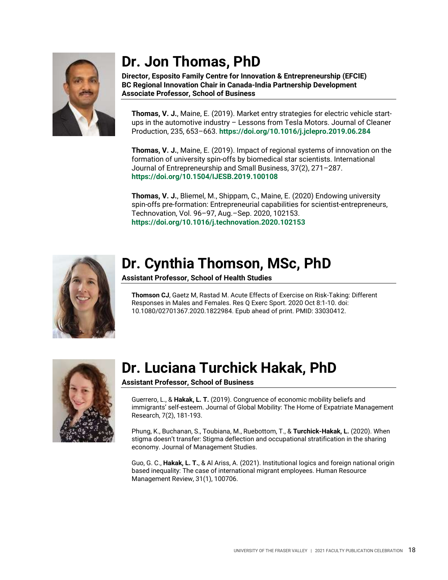

#### <span id="page-17-0"></span>**Dr. Jon Thomas, PhD**

**Director, Esposito Family Centre for Innovation & Entrepreneurship (EFCIE) BC Regional Innovation Chair in Canada-India Partnership Development Associate Professor, School of Business**

**Thomas, V. J.**, Maine, E. (2019). Market entry strategies for electric vehicle startups in the automotive industry – Lessons from Tesla Motors. Journal of Cleaner Production, 235, 653–663. **[https://doi.org/10.1016/j.jclepro.2019.06.284](https://doi-org.proxy.ufv.ca:2443/10.1016/j.jclepro.2019.06.284)**

**Thomas, V. J.**, Maine, E. (2019). Impact of regional systems of innovation on the formation of university spin-offs by biomedical star scientists. International Journal of Entrepreneurship and Small Business, 37(2), 271–287. **<https://doi.org/10.1504/IJESB.2019.100108>**

**Thomas, V. J.**, Bliemel, M., Shippam, C., Maine, E. (2020) Endowing university spin-offs pre-formation: Entrepreneurial capabilities for scientist-entrepreneurs, Technovation, Vol. 96–97, Aug.–Sep. 2020, 102153. **[https://doi.org/10.1016/j.technovation.2020.102153](https://doi-org.proxy.ufv.ca:2443/10.1016/j.technovation.2020.102153)**



## <span id="page-17-1"></span>**Dr. Cynthia Thomson, MSc, PhD**

**Assistant Professor, School of Health Studies**

**Thomson CJ**, Gaetz M, Rastad M. Acute Effects of Exercise on Risk-Taking: Different Responses in Males and Females. Res Q Exerc Sport. 2020 Oct 8:1-10. doi: 10.1080/02701367.2020.1822984. Epub ahead of print. PMID: 33030412.



## <span id="page-17-2"></span>**Dr. Luciana Turchick Hakak, PhD**

#### **Assistant Professor, School of Business**

Guerrero, L., & **Hakak, L. T.** (2019). Congruence of economic mobility beliefs and immigrants' self-esteem. Journal of Global Mobility: The Home of Expatriate Management Research, 7(2), 181-193.

Phung, K., Buchanan, S., Toubiana, M., Ruebottom, T., & **Turchick‐Hakak, L.** (2020). When stigma doesn't transfer: Stigma deflection and occupational stratification in the sharing economy. Journal of Management Studies.

Guo, G. C., **Hakak, L. T.**, & Al Ariss, A. (2021). Institutional logics and foreign national origin based inequality: The case of international migrant employees. Human Resource Management Review, 31(1), 100706.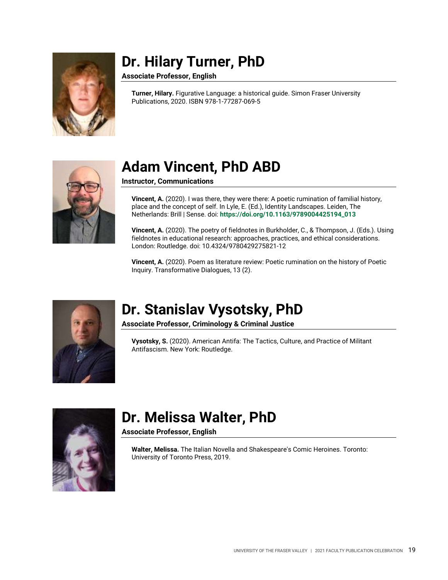

#### <span id="page-18-0"></span>**Dr. Hilary Turner, PhD**

**Associate Professor, English**

**Turner, Hilary.** Figurative Language: a historical guide. Simon Fraser University Publications, 2020. ISBN 978-1-77287-069-5



### <span id="page-18-1"></span>**Adam Vincent, PhD ABD**

**Instructor, Communications**

**Vincent, A.** (2020). I was there, they were there: A poetic rumination of familial history, place and the concept of self. In Lyle, E. (Ed.), Identity Landscapes. Leiden, The Netherlands: Brill | Sense. doi: **[https://doi.org/10.1163/9789004425194\\_013](https://doi.org/10.1163/9789004425194_013)**

**Vincent, A.** (2020). The poetry of fieldnotes in Burkholder, C., & Thompson, J. (Eds.). Using fieldnotes in educational research: approaches, practices, and ethical considerations. London: Routledge. doi: 10.4324/9780429275821-12

**Vincent, A.** (2020). Poem as literature review: Poetic rumination on the history of Poetic Inquiry. Transformative Dialogues, 13 (2).



#### <span id="page-18-2"></span>**Dr. Stanislav Vysotsky, PhD**

**Associate Professor, Criminology & Criminal Justice**

**Vysotsky, S.** (2020). American Antifa: The Tactics, Culture, and Practice of Militant Antifascism. New York: Routledge.



#### <span id="page-18-3"></span>**Dr. Melissa Walter, PhD**

**Associate Professor, English**

**Walter, Melissa.** The Italian Novella and Shakespeare's Comic Heroines. Toronto: University of Toronto Press, 2019.